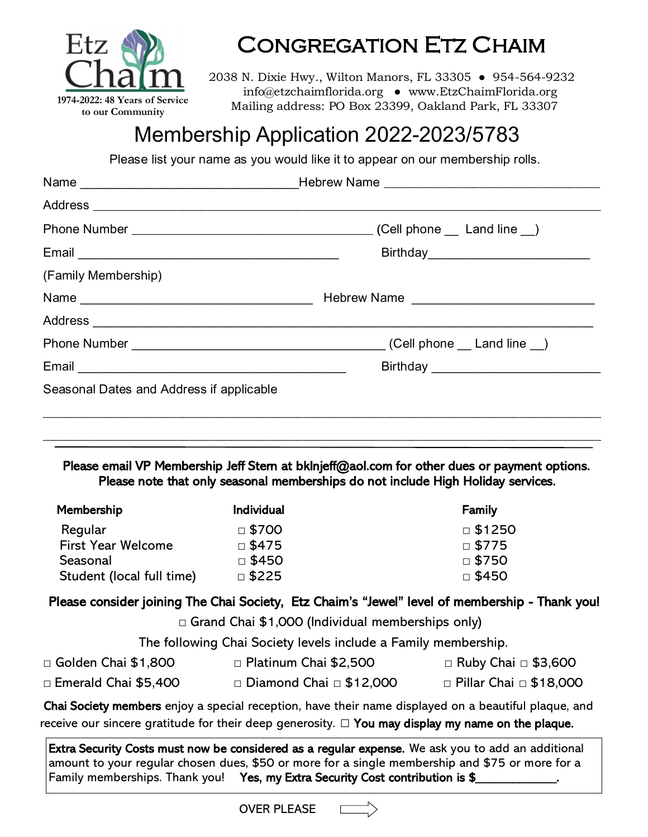

# Congregation Etz Chaim

2038 N. Dixie Hwy., Wilton Manors, FL 33305 ● 954-564-9232 info@etzchaimflorida.org ● www.EtzChaimFlorida.org Mailing address: PO Box 23399, Oakland Park, FL 33307

# Membership Application 2022-2023/5783

Please list your name as you would like it to appear on our membership rolls.

| (Family Membership)                      |  |
|------------------------------------------|--|
|                                          |  |
|                                          |  |
|                                          |  |
|                                          |  |
| Seasonal Dates and Address if applicable |  |
|                                          |  |
|                                          |  |

Please email VP Membership Jeff Stern at bklnjeff@aol.com for other dues or payment options. Please note that only seasonal memberships do not include High Holiday services.

| Membership                | <b>Individual</b> | Family        |
|---------------------------|-------------------|---------------|
| Regular                   | $\Box$ \$700      | $\Box$ \$1250 |
| <b>First Year Welcome</b> | $\Box$ \$475      | $\Box$ \$775  |
| Seasonal                  | $\Box$ \$450      | $\Box$ \$750  |
| Student (local full time) | $\square$ \$225   | □ \$450       |

## Please consider joining The Chai Society, Etz Chaim's "Jewel" level of membership - Thank you!

**□** Grand Chai \$1,000 (Individual memberships only)

The following Chai Society levels include a Family membership.

- □ Golden Chai \$1,800 □ Platinum Chai \$2,500 □ Ruby Chai □ \$3,600
- □ Emerald Chai \$5,400 □ Diamond Chai □ \$12,000 □ Pillar Chai □ \$18,000
	-

 Chai Society members enjoy a special reception, have their name displayed on a beautiful plaque, and receive our sincere gratitude for their deep generosity. *□* You may display my name on the plaque.

Extra Security Costs must now be considered as a regular expense. We ask you to add an additional amount to your regular chosen dues, \$50 or more for a single membership and \$75 or more for a Family memberships. Thank you! Yes, my Extra Security Cost contribution is \$

OVER PLEASE